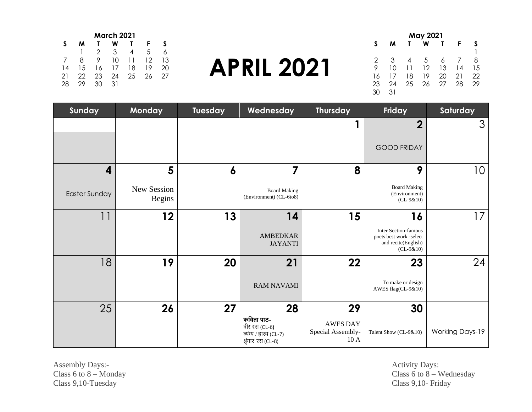| May 2021 |    |    |    |    |    |    |  |  |
|----------|----|----|----|----|----|----|--|--|
| S        | м  |    | W  |    | F  |    |  |  |
|          |    |    |    |    |    |    |  |  |
| 2        | 3  | 4  | 5  | 6  |    | 8  |  |  |
| 9        | 10 | 11 | 12 | 13 | 14 | 15 |  |  |
| 16       | 17 | 18 | 19 | 20 | 21 | 22 |  |  |
| 23       | 24 | 25 | 26 | 27 | 28 | 29 |  |  |
| 30       | 31 |    |    |    |    |    |  |  |

# **APRIL 2021**

| March 2021 |    |    |    |    |    |    |  |
|------------|----|----|----|----|----|----|--|
| S          | м  |    | w  |    | F  | S  |  |
|            |    | 2  | 3  | 4  | 5  |    |  |
|            | 8  | 9  | 10 | 11 | 12 | 13 |  |
| 14         | 15 | 16 | 17 | 18 | 19 | 20 |  |
| 21         | 22 | 23 | 24 | 25 | 26 | 27 |  |
| 28         | 29 | 30 | 31 |    |    |    |  |

| Sunday        | Monday                       | <b>Tuesday</b> | Wednesday                                                                           | <b>Thursday</b>                             | Friday                                                                                       | Saturday               |
|---------------|------------------------------|----------------|-------------------------------------------------------------------------------------|---------------------------------------------|----------------------------------------------------------------------------------------------|------------------------|
|               |                              |                |                                                                                     |                                             | $\overline{\mathbf{2}}$                                                                      | $\mathcal{S}$          |
|               |                              |                |                                                                                     |                                             | <b>GOOD FRIDAY</b>                                                                           |                        |
| 4             | 5                            | 6              | 7                                                                                   | 8                                           | 9                                                                                            | 10                     |
| Easter Sunday | New Session<br><b>Begins</b> |                | <b>Board Making</b><br>(Environment) (CL-6to8)                                      |                                             | <b>Board Making</b><br>(Environment)<br>$(CL-9&10)$                                          |                        |
| 11            | 12                           | 13             | 14                                                                                  | 15                                          | 16                                                                                           | 17                     |
|               |                              |                | <b>AMBEDKAR</b><br><b>JAYANTI</b>                                                   |                                             | <b>Inter Section-famous</b><br>poets best work -select<br>and recite(English)<br>$(CL-9&10)$ |                        |
| 18            | 19                           | 20             | 21                                                                                  | 22                                          | 23                                                                                           | 24                     |
|               |                              |                | <b>RAM NAVAMI</b>                                                                   |                                             | To make or design<br>AWES flag(CL-9&10)                                                      |                        |
| 25            | 26                           | 27             | 28                                                                                  | 29                                          | 30                                                                                           |                        |
|               |                              |                | कविता पाठ-<br>वीर रस (CL-6 <b>)</b><br>व्यंग्य / हास्य (CL-7)<br>श्रृंगार रस (CL-8) | <b>AWES DAY</b><br>Special Assembly-<br>10A | Talent Show (CL-9&10)                                                                        | <b>Working Days-19</b> |

Assembly Days:- Activity Days: Class 6 to 8 – Monday<br>Class 9,10-Tuesday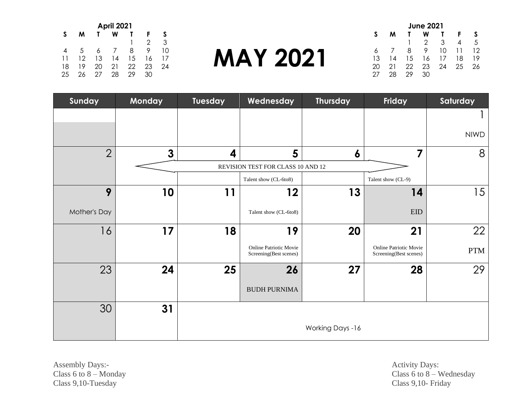| <b>April 2021</b> |    |    |          |    |    |    |  |
|-------------------|----|----|----------|----|----|----|--|
| S                 | м  |    | w        |    | F  | S  |  |
|                   |    |    |          |    | 2  | 3  |  |
| 4                 | 5  |    | $\prime$ | 8  | 9  | 10 |  |
| 11                | 12 | 13 | 14       | 15 | 16 | 17 |  |
| 18                | 19 | 20 | 21       | 22 | 23 | 24 |  |
| 25                | 26 | 27 | 28       | 29 | 30 |    |  |

### **MAY 2021**

| <b>June 2021</b> |    |    |    |    |    |    |  |
|------------------|----|----|----|----|----|----|--|
| S                | м  |    | w  |    | F  |    |  |
|                  |    |    | 2  | 3  |    | 5  |  |
| 6                |    | 8  | 9  | 10 | 11 | 12 |  |
| 13               | 14 | 15 | 16 | 17 | 18 | 19 |  |
| 20               | 21 | 22 | 23 | 24 | 25 | 26 |  |
| ') /             | 28 | 29 | 30 |    |    |    |  |

| Sunday         | Monday       | Tuesday | Wednesday                                        | <b>Thursday</b>  | Friday                                           | Saturday    |
|----------------|--------------|---------|--------------------------------------------------|------------------|--------------------------------------------------|-------------|
|                |              |         |                                                  |                  |                                                  |             |
|                |              |         |                                                  |                  |                                                  | <b>NIWD</b> |
| $\overline{2}$ | $\mathbf{3}$ | 4       | 5                                                | 6                | 7                                                | 8           |
|                |              |         | REVISION TEST FOR CLASS 10 AND 12                |                  |                                                  |             |
|                |              |         | Talent show (CL-6to8)                            |                  | Talent show (CL-9)                               |             |
| 9              | 10           | 11      | 12                                               | 13               | 14                                               | 15          |
| Mother's Day   |              |         | Talent show (CL-6to8)                            |                  | <b>EID</b>                                       |             |
| 16             | 17           | 18      | 19                                               | 20               | 21                                               | 22          |
|                |              |         | Online Patriotic Movie<br>Screening(Best scenes) |                  | Online Patriotic Movie<br>Screening(Best scenes) | <b>PTM</b>  |
| 23             | 24           | 25      | 26                                               | 27               | 28                                               | 29          |
|                |              |         | <b>BUDH PURNIMA</b>                              |                  |                                                  |             |
| 30             | 31           |         |                                                  |                  |                                                  |             |
|                |              |         |                                                  | Working Days -16 |                                                  |             |

Assembly Days:-<br>
Class 6 to 8 – Monday<br>
Class 6 to 8 – Monday<br>
Class 6 to 8 – Monday Class 9,10-Tuesday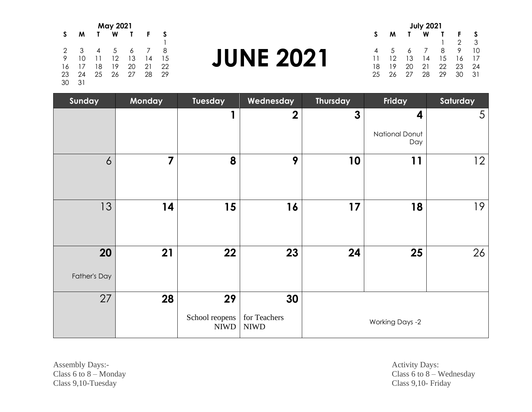| <b>May 2021</b> |    |    |    |    |    |    |  |
|-----------------|----|----|----|----|----|----|--|
| S               | м  |    | W  |    | F  |    |  |
|                 |    |    |    |    |    |    |  |
| 2               | 3  |    | 5  | 6  |    | 8  |  |
| 9               | 10 | 11 | 12 | 13 | 14 | 15 |  |
| 16              | 17 | 18 | 19 | 20 | 21 | 22 |  |
| 23              | 24 | 25 | 26 | 27 | 28 | 29 |  |
| 30              | 31 |    |    |    |    |    |  |

#### **JUNE 2021**

| <b>July 2021</b> |    |    |    |    |    |    |  |  |
|------------------|----|----|----|----|----|----|--|--|
| S                | м  |    | w  |    | F  | S  |  |  |
|                  |    |    |    |    | 2  | 3  |  |  |
| 4                | 5  | 6  |    | 8  | 9  | 10 |  |  |
| 11               | 12 | 13 | 14 | 15 | 16 | 17 |  |  |
| 18               | 19 | 20 | 21 | 22 | 23 | 24 |  |  |
| 25               | 26 | 27 | 28 | 29 | 30 | 31 |  |  |

| Sunday             | <b>Monday</b>  | Tuesday                      | Wednesday                   | <b>Thursday</b> | Friday                 | Saturday        |
|--------------------|----------------|------------------------------|-----------------------------|-----------------|------------------------|-----------------|
|                    |                |                              | $\overline{2}$              | $\mathbf{3}$    | 4                      | 5               |
|                    |                |                              |                             |                 | National Donut<br>Day  |                 |
| $\overline{6}$     | $\overline{7}$ | 8                            | 9                           | 10              | 11                     | 12 <sup>2</sup> |
| 13                 | 14             | 15                           | 16                          | 17              | 18                     | 19              |
| 20<br>Father's Day | 21             | 22                           | 23                          | 24              | 25                     | 26              |
| 27                 | 28             | 29                           | 30                          |                 |                        |                 |
|                    |                | School reopens<br>$\rm NIWD$ | for Teachers<br><b>NIWD</b> |                 | <b>Working Days -2</b> |                 |

Assembly Days:-<br>
Class 6 to 8 – Monday<br>
Class 6 to 8 – Monday<br>
Class 6 to 8 – Monday Class 9,10-Tuesday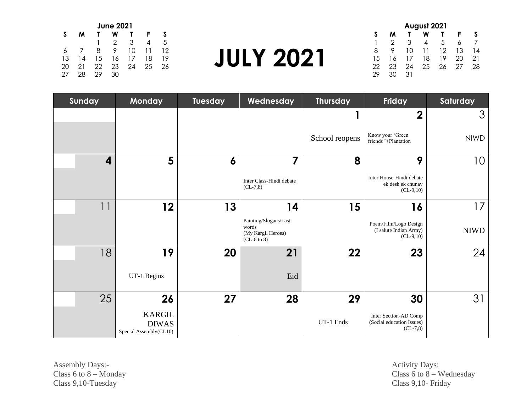| <b>June 2021</b> |    |    |     |    |    |    |  |
|------------------|----|----|-----|----|----|----|--|
| S                | м  |    | w   |    | F  | S  |  |
|                  |    |    | 2   | 3  | 4  | .5 |  |
| 6                |    | 8  | 9   | 10 | 11 | 12 |  |
| 13               | 14 | 15 | 16  | 17 | 18 | 19 |  |
| 20               | 21 | 22 | 23  | 24 | 25 | 26 |  |
| 27               | 28 | 29 | 30. |    |    |    |  |

| <b>JULY 2021</b> |  |
|------------------|--|
|------------------|--|

| August 2021 |    |    |    |    |    |    |  |
|-------------|----|----|----|----|----|----|--|
| S           | м  |    | w  |    | F  |    |  |
|             | 2  | З  | 4  | 5  | 6  |    |  |
| 8           | 9  | 10 | 11 | 12 | 13 | 14 |  |
| 15          | 16 | 17 | 18 | 19 | 20 | 21 |  |
| 22          | 23 | 24 | 25 | 26 | 27 | 28 |  |
|             |    | 31 |    |    |    |    |  |

| Sunday |                | Monday                                                  | Tuesday | Wednesday                                                             | <b>Thursday</b> | Friday                                                         | Saturday    |
|--------|----------------|---------------------------------------------------------|---------|-----------------------------------------------------------------------|-----------------|----------------------------------------------------------------|-------------|
|        |                |                                                         |         |                                                                       | П               | $\mathbf 2$                                                    | 3           |
|        |                |                                                         |         |                                                                       | School reopens  | Know your 'Green<br>friends '+Plantation                       | <b>NIWD</b> |
|        | 4              | 5                                                       | 6       | 7                                                                     | 8               | 9                                                              | 10          |
|        |                |                                                         |         | Inter Class-Hindi debate<br>$CL-7,8)$                                 |                 | Inter House-Hindi debate<br>ek desh ek chunav<br>$(CL-9,10)$   |             |
|        | 1 <sup>1</sup> | 12                                                      | 13      | 14                                                                    | 15              | 16                                                             | 17          |
|        |                |                                                         |         | Painting/Slogans/Last<br>words<br>(My Kargil Heroes)<br>$(CL-6 to 8)$ |                 | Poem/Film/Logo Design<br>(I salute Indian Army)<br>$(CL-9,10)$ | <b>NIWD</b> |
|        | 18             | 19                                                      | 20      | 21                                                                    | 22              | 23                                                             | 24          |
|        |                | UT-1 Begins                                             |         | Eid                                                                   |                 |                                                                |             |
|        | 25             | 26                                                      | 27      | 28                                                                    | 29              | 30                                                             | 31          |
|        |                | <b>KARGIL</b><br><b>DIWAS</b><br>Special Assembly(CL10) |         |                                                                       | UT-1 Ends       | Inter Section-AD Comp<br>(Social education Issues)<br>$CL-7,8$ |             |

Assembly Days:- Activity Days: Activity Days: Class 9,10-Tuesday Class 9,10- Friday

Activity Days:<br>Class 6 to 8 – Wednesday<br>Class 9,10- Friday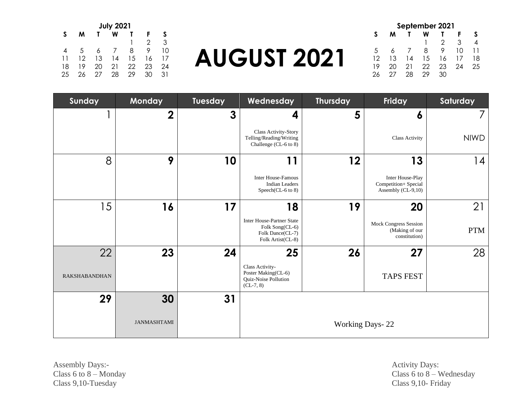| September 2021 |    |    |    |     |    |    |  |  |  |
|----------------|----|----|----|-----|----|----|--|--|--|
| S              | м  |    | W  |     | F  |    |  |  |  |
|                |    |    |    | 2   | 3  |    |  |  |  |
| 5              | 6  |    | 8  | 9   | 10 | 11 |  |  |  |
| 12             | 13 | 14 | 15 | 16  | 17 | 18 |  |  |  |
| 19             | 20 | 21 | 22 | 23  | 24 | 25 |  |  |  |
| 26             | 27 | 28 | 29 | 30. |    |    |  |  |  |

# **AUGUST 2021**

| <b>July 2021</b> |    |    |    |    |    |    |  |  |
|------------------|----|----|----|----|----|----|--|--|
| S                | м  |    | w  |    | F  | S  |  |  |
|                  |    |    |    |    | 2  | 3  |  |  |
| 4                | .5 | 6  |    | 8  | 9  | 10 |  |  |
| 11               | 12 | 13 | 14 | 15 | 16 | 17 |  |  |
| 18               | 19 | 20 | 21 | 22 | 23 | 24 |  |  |
| 25               | 26 | 27 | 28 | 29 | 30 | 31 |  |  |

| Sunday               | Monday             | Tuesday | Wednesday                                                                                    | <b>Thursday</b> | Friday                                                          | Saturday    |
|----------------------|--------------------|---------|----------------------------------------------------------------------------------------------|-----------------|-----------------------------------------------------------------|-------------|
|                      | $\mathbf 2$        | 3       | 4                                                                                            | 5               | 6                                                               |             |
|                      |                    |         | <b>Class Activity-Story</b><br>Telling/Reading/Writing<br>Challenge (CL-6 to 8)              |                 | <b>Class Activity</b>                                           | <b>NIWD</b> |
| 8                    | 9                  | 10      | 11                                                                                           | 12              | 13                                                              | 14          |
|                      |                    |         | <b>Inter House-Famous</b><br><b>Indian Leaders</b><br>Speech(CL-6 to 8)                      |                 | Inter House-Play<br>Competition+ Special<br>Assembly (CL-9,10)  |             |
| 15                   | 16                 | 17      | 18                                                                                           | 19              | 20                                                              | 21          |
|                      |                    |         | <b>Inter House-Partner State</b><br>Folk Song(CL-6)<br>Folk Dance(CL-7)<br>Folk Artist(CL-8) |                 | <b>Mock Congress Session</b><br>(Making of our<br>constitution) | <b>PTM</b>  |
| 22                   | 23                 | 24      | 25                                                                                           | 26              | 27                                                              | 28          |
| <b>RAKSHABANDHAN</b> |                    |         | Class Activity-<br>Poster Making(CL-6)<br>Quiz-Noise Pollution<br>$CL-7, 8)$                 |                 | <b>TAPS FEST</b>                                                |             |
| 29                   | 30                 | 31      |                                                                                              |                 |                                                                 |             |
|                      | <b>JANMASHTAMI</b> |         |                                                                                              |                 | <b>Working Days-22</b>                                          |             |

Assembly Days:-<br>
Class 6 to 8 – Monday<br>
Class 6 to 8 – Monday<br>
Class 6 to 8 – Monday Class 9,10-Tuesday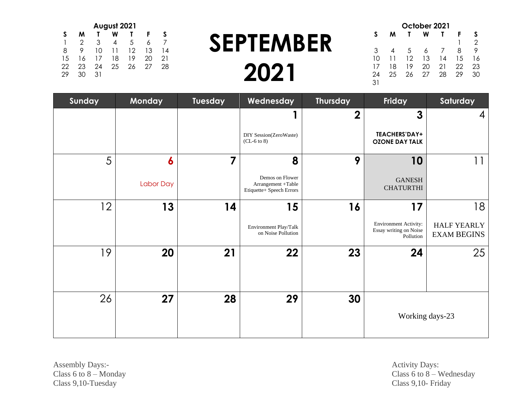| October 2021 |    |    |    |    |    |                |  |  |  |
|--------------|----|----|----|----|----|----------------|--|--|--|
| S            | м  |    | W  |    | F  | S              |  |  |  |
|              |    |    |    |    |    | $\mathfrak{D}$ |  |  |  |
| 3            | 4  | .5 | 6  |    | 8  | 9              |  |  |  |
| 10           | 11 | 12 | 13 | 14 | 15 | 16             |  |  |  |
| 17           | 18 | 19 | 20 | 21 | 22 | 23             |  |  |  |
| 24           | 25 | 26 | 27 | 28 | 29 | 30             |  |  |  |
| 31           |    |    |    |    |    |                |  |  |  |

### **SEPTEMBER 2021**

| August 2021 |    |    |    |    |    |    |  |  |
|-------------|----|----|----|----|----|----|--|--|
| S           | м  |    | W  |    | F  | S  |  |  |
|             | 2  | З  | 4  | 5  | 6  |    |  |  |
| 8           | 9  | 10 | 11 | 12 | 13 | 14 |  |  |
| 15          | 16 | 17 | 18 | 19 | 20 | 21 |  |  |
| 22          | 23 | 24 | 25 | 26 | 27 | 28 |  |  |
| 29          | חר | 31 |    |    |    |    |  |  |

| Sunday | Monday           | Tuesday                 | Wednesday                                                         | <b>Thursday</b>  | Friday                                                              | Saturday                                 |
|--------|------------------|-------------------------|-------------------------------------------------------------------|------------------|---------------------------------------------------------------------|------------------------------------------|
|        |                  |                         |                                                                   | $\boldsymbol{2}$ | 3                                                                   | 4                                        |
|        |                  |                         | DIY Session(ZeroWaste)<br>$(CL-6 to 8)$                           |                  | <b>TEACHERS'DAY+</b><br><b>OZONE DAY TALK</b>                       |                                          |
| 5      | $\boldsymbol{6}$ | $\overline{\mathbf{z}}$ | 8                                                                 | 9                | 10                                                                  | 11                                       |
|        | <b>Labor Day</b> |                         | Demos on Flower<br>Arrangement +Table<br>Etiquette+ Speech Errors |                  | <b>GANESH</b><br><b>CHATURTHI</b>                                   |                                          |
| 12     | 13               | 14                      | 15                                                                | 16               | 17                                                                  | 18                                       |
|        |                  |                         | Environment Play/Talk<br>on Noise Pollution                       |                  | <b>Environment Activity:</b><br>Essay writing on Noise<br>Pollution | <b>HALF YEARLY</b><br><b>EXAM BEGINS</b> |
| 19     | 20               | 21                      | 22                                                                | 23               | 24                                                                  | 25                                       |
|        |                  |                         |                                                                   |                  |                                                                     |                                          |
| 26     | 27               | 28                      | 29                                                                | 30               |                                                                     |                                          |
|        |                  |                         |                                                                   |                  |                                                                     | Working days-23                          |

Assembly Days:-<br>
Class 6 to 8 – Monday<br>
Class 6 to 8 – Monday<br>
Class 6 to 8 – Monday Class 9,10-Tuesday Class 9,10- Friday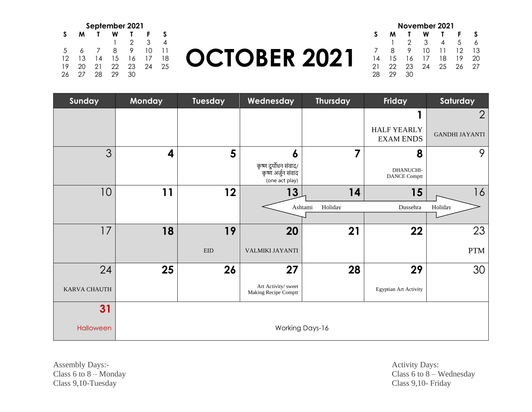| September 2021 |    |    |    |    |    |    |  |  |  |
|----------------|----|----|----|----|----|----|--|--|--|
| S              | м  |    | w  |    | F  |    |  |  |  |
|                |    |    |    | 2  | 3  |    |  |  |  |
| 5              | 6  |    | 8  | 9  | 10 | 11 |  |  |  |
| 12             | 13 | 14 | 15 | 16 | 17 | 18 |  |  |  |
| 19             | 20 | 21 | 22 | 23 | 24 | 25 |  |  |  |
| 26             | 27 | 28 | 29 | 3Ο |    |    |  |  |  |

# **OCTOBER 2021**

| November 2021 |    |    |    |    |    |    |  |  |  |
|---------------|----|----|----|----|----|----|--|--|--|
| S             | м  |    | w  |    | F  |    |  |  |  |
|               |    | 2  | 3  | 4  | 5  |    |  |  |  |
|               | 8  | 9  | 10 | 11 | 12 | 13 |  |  |  |
| 14            | 15 | 16 | 17 | 18 | 19 | 20 |  |  |  |
| 21            | 22 | 23 | 24 | 25 | 26 | 27 |  |  |  |
| 28            | つつ |    |    |    |    |    |  |  |  |

| Sunday              | Monday                  | <b>Tuesday</b> | Wednesday                                                     | <b>Thursday</b>        | Friday                                 | Saturday              |
|---------------------|-------------------------|----------------|---------------------------------------------------------------|------------------------|----------------------------------------|-----------------------|
|                     |                         |                |                                                               |                        |                                        | $\overline{2}$        |
|                     |                         |                |                                                               |                        | <b>HALF YEARLY</b><br><b>EXAM ENDS</b> | <b>GANDHI JAYANTI</b> |
| 3                   | $\overline{\mathbf{4}}$ | 5              | 6                                                             | 7                      | 8                                      | 9                     |
|                     |                         |                | कृष्ण दुर्योधन संवाद/<br>कृष्ण अर्जुन संवाद<br>(one act play) |                        | DHANUCHI-<br><b>DANCE Comptt</b>       |                       |
| 10 <sup>°</sup>     | 11                      | 12             | 13                                                            | 14                     | 15                                     | 16                    |
|                     |                         |                |                                                               | Ashtami<br>Holiday     | Dussehra                               | Holidav               |
|                     |                         |                |                                                               |                        |                                        |                       |
| 17                  | 18                      | 19             | 20                                                            | 21                     | 22                                     | 23                    |
|                     |                         | <b>EID</b>     | VALMIKI JAYANTI                                               |                        |                                        | <b>PTM</b>            |
| 24                  | 25                      | 26             | 27                                                            | 28                     | 29                                     | 30                    |
| <b>KARVA CHAUTH</b> |                         |                | Art Activity/ sweet<br>Making Recipe Comptt                   |                        | <b>Egyptian Art Activity</b>           |                       |
| 31                  |                         |                |                                                               |                        |                                        |                       |
| Halloween           |                         |                |                                                               | <b>Working Days-16</b> |                                        |                       |

Assembly Days:-<br>
Class 6 to 8 – Monday<br>
Class 6 to 8 – Monday<br>
Class 6 to 8 – Monday Class 9,10-Tuesday Class 9,10- Friday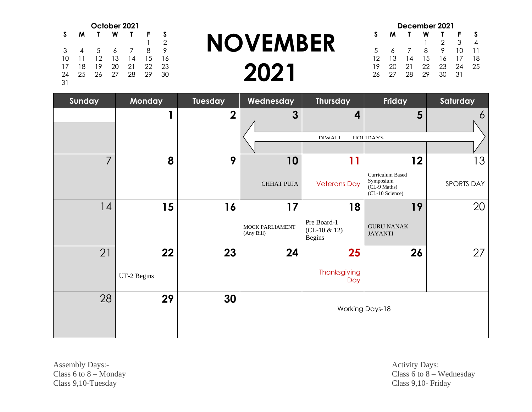| October 2021 |    |    |    |    |    |    |  |
|--------------|----|----|----|----|----|----|--|
| S            | м  |    | w  |    | F  | S  |  |
|              |    |    |    |    |    | 2  |  |
| 3            | 4  | 5  | 6  |    | 8  | 9  |  |
| 10           | 11 | 12 | 13 | 14 | 15 | 16 |  |
| 17           | 18 | 19 | 20 | 21 | 22 | 23 |  |
| 24           | 25 | 26 | 27 | 28 | 29 | 30 |  |
| 31           |    |    |    |    |    |    |  |

#### **NOVEMBER 2021**

|    | December 2021 |    |    |    |    |    |  |  |  |
|----|---------------|----|----|----|----|----|--|--|--|
| S  | м             |    |    |    | F  |    |  |  |  |
|    |               |    |    | 2  | 3  | 4  |  |  |  |
| 5  |               |    | 8  | 9  | 10 | 11 |  |  |  |
| 12 | 13            | 14 | 15 | 16 | 17 | 18 |  |  |  |
| 19 | 20            | 21 | 22 | 23 | 24 | 25 |  |  |  |
| 26 | 27            | 28 | 29 | 30 | 31 |    |  |  |  |

| Sunday         | Monday      | Tuesday          | Wednesday                     | <b>Thursday</b>                                | <b>Friday</b>                                                    | Saturday   |
|----------------|-------------|------------------|-------------------------------|------------------------------------------------|------------------------------------------------------------------|------------|
|                | 1           | $\boldsymbol{2}$ | $\mathbf{3}$                  | 4                                              | $5\phantom{1}$                                                   | 6          |
|                |             |                  |                               | <b>DIWAI</b> I                                 | HOI IDAVS                                                        |            |
|                |             |                  |                               |                                                |                                                                  |            |
| $\overline{7}$ | 8           | 9                | 10                            | 11                                             | 12                                                               | 13         |
|                |             |                  | <b>CHHAT PUJA</b>             | <b>Veterans Day</b>                            | Curriculum Based<br>Symposium<br>(CL-9 Maths)<br>(CL-10 Science) | SPORTS DAY |
| 14             | 15          | 16               | 17                            | 18                                             | 19                                                               | 20         |
|                |             |                  | MOCK PARLIAMENT<br>(Any Bill) | Pre Board-1<br>$(CL-10 & 12)$<br><b>Begins</b> | <b>GURU NANAK</b><br><b>JAYANTI</b>                              |            |
| 21             | 22          | 23               | 24                            | 25                                             | 26                                                               | 27         |
|                | UT-2 Begins |                  |                               | Thanksgiving<br>Day                            |                                                                  |            |
| 28             | 29          | 30               |                               |                                                | <b>Working Days-18</b>                                           |            |

Assembly Days:-<br>
Class 6 to 8 – Monday<br>
Class 6 to 8 – Monday<br>
Class 6 to 8 – Monday Class 9,10-Tuesday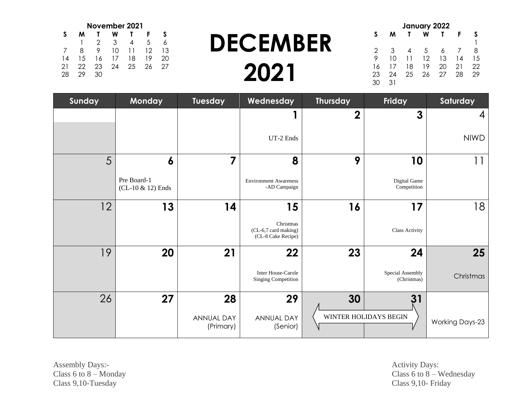| January 2022 |    |    |    |    |    |    |  |  |
|--------------|----|----|----|----|----|----|--|--|
| S            | м  |    | w  |    | F  | S  |  |  |
|              |    |    |    |    |    |    |  |  |
| 2            | 3  |    | 5  | 6  |    | 8  |  |  |
| 9            | 10 | 11 | 12 | 13 | 14 | 15 |  |  |
| 16           | 17 | 18 | 19 | 20 | 21 | 22 |  |  |
| 23           | 24 | 25 | 26 | 27 | 28 | 29 |  |  |
| 30           | 31 |    |    |    |    |    |  |  |

# **DECEMBER 2021**

| November 2021 |    |    |    |    |    |    |  |  |
|---------------|----|----|----|----|----|----|--|--|
| S             | м  |    | w  |    | F  |    |  |  |
|               |    | 2  | 3  | 4  | 5  |    |  |  |
|               | 8  | 9  | 10 | 11 | 12 | 13 |  |  |
| 14            | 15 | 16 | 17 | 18 | 19 | 20 |  |  |
| 21            | 22 | 23 | 24 | 25 | 26 | 27 |  |  |
| 28            | つ9 | 30 |    |    |    |    |  |  |

| Sunday | Monday                           | Tuesday                 | Wednesday                                               | <b>Thursday</b>  | <b>Friday</b>                   | Saturday               |
|--------|----------------------------------|-------------------------|---------------------------------------------------------|------------------|---------------------------------|------------------------|
|        |                                  |                         |                                                         | $\boldsymbol{2}$ | $\mathbf{3}$                    | 4                      |
|        |                                  |                         | UT-2 Ends                                               |                  |                                 | <b>NIWD</b>            |
| 5      | $\boldsymbol{6}$                 | 7                       | 8                                                       | 9                | 10                              |                        |
|        | Pre Board-1<br>(CL-10 & 12) Ends |                         | <b>Environment Awareness</b><br>-AD Campaign            |                  | Digital Game<br>Competition     |                        |
| 12     | 13                               | 14                      | 15                                                      | 16               | 17                              | 18                     |
|        |                                  |                         | Christmas<br>(CL-6,7 card making)<br>(CL-8 Cake Recipe) |                  | <b>Class Activity</b>           |                        |
| 19     | 20                               | 21                      | 22                                                      | 23               | 24                              | 25                     |
|        |                                  |                         | Inter House-Carole<br><b>Singing Competition</b>        |                  | Special Assembly<br>(Christmas) | Christmas              |
| 26     | 27                               | 28                      | 29                                                      | 30               | 31                              |                        |
|        |                                  | ANNUAL DAY<br>(Primary) | <b>ANNUAL DAY</b><br>(Senior)                           |                  | WINTER HOLIDAYS BEGIN           | <b>Working Days-23</b> |

Assembly Days:-<br>
Class 6 to 8 – Monday<br>
Class 6 to 8 – Monday<br>
Class 6 to 8 – Monday Class 9,10-Tuesday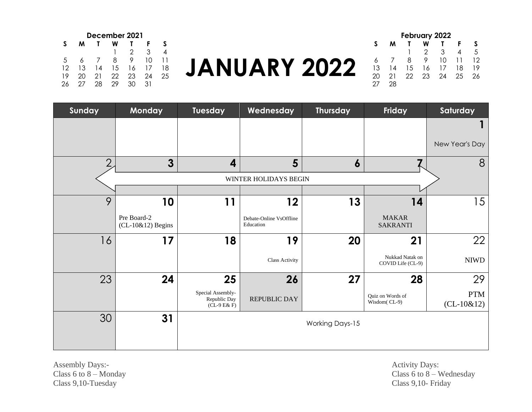| December 2021 |    |    |    |    |    |    |  |  |
|---------------|----|----|----|----|----|----|--|--|
| S             | м  |    | w  |    | F  |    |  |  |
|               |    |    |    | 2  | 3  |    |  |  |
| 5             |    |    | 8  | 9  | 10 | 11 |  |  |
| 12            | 13 | 14 | 15 | 16 | 17 | 18 |  |  |
| 19            | 20 | 21 | 22 | 23 | 24 | 25 |  |  |
| 26            | 27 | 28 | 29 | 30 | 31 |    |  |  |

# **JANUARY 2022**

| <b>February 2022</b> |    |    |    |    |    |    |    |  |
|----------------------|----|----|----|----|----|----|----|--|
|                      | S  | м  |    |    |    |    |    |  |
|                      |    |    |    | 2  | З  |    | .5 |  |
|                      | 6  |    | 8  | 9  | 10 | 11 | 12 |  |
|                      | 13 | 14 | 15 | 16 | 17 | 18 | 19 |  |
|                      | 20 | 21 | 22 | 23 | 24 | 25 | 26 |  |
|                      |    | 28 |    |    |    |    |    |  |

| Sunday        | <b>Monday</b>                      | Tuesday                                            | Wednesday                            | <b>Thursday</b>        | Friday                               | Saturday                   |
|---------------|------------------------------------|----------------------------------------------------|--------------------------------------|------------------------|--------------------------------------|----------------------------|
|               |                                    |                                                    |                                      |                        |                                      |                            |
|               |                                    |                                                    |                                      |                        |                                      | New Year's Day             |
| $\mathcal{P}$ | $\overline{3}$                     | $\overline{\mathbf{4}}$                            | $5\phantom{1}$                       | $\boldsymbol{6}$       |                                      | 8                          |
|               |                                    |                                                    | WINTER HOLIDAYS BEGIN                |                        |                                      |                            |
|               |                                    |                                                    |                                      |                        |                                      |                            |
| 9             | 10                                 | 11                                                 | 12                                   | 13                     | 14                                   | 15                         |
|               | Pre Board-2<br>$(CL-10&12)$ Begins |                                                    | Debate-Online VsOffline<br>Education |                        | <b>MAKAR</b><br><b>SAKRANTI</b>      |                            |
| 16            | 17                                 | 18                                                 | 19                                   | 20                     | 21                                   | 22                         |
|               |                                    |                                                    | <b>Class Activity</b>                |                        | Nukkad Natak on<br>COVID Life (CL-9) | <b>NIWD</b>                |
| 23            | 24                                 | 25                                                 | 26                                   | 27                     | 28                                   | 29                         |
|               |                                    | Special Assembly-<br>Republic Day<br>$(CL-9 E& F)$ | <b>REPUBLIC DAY</b>                  |                        | Quiz on Words of<br>Wisdom(CL-9)     | <b>PTM</b><br>$(CL-10&12)$ |
| 30            | 31                                 |                                                    |                                      | <b>Working Days-15</b> |                                      |                            |
|               |                                    |                                                    |                                      |                        |                                      |                            |

Assembly Days:-<br>
Class 6 to 8 – Monday<br>
Class 6 to 8 – Monday<br>
Class 6 to 8 – Monday Class 9,10-Tuesday Class 9,10- Friday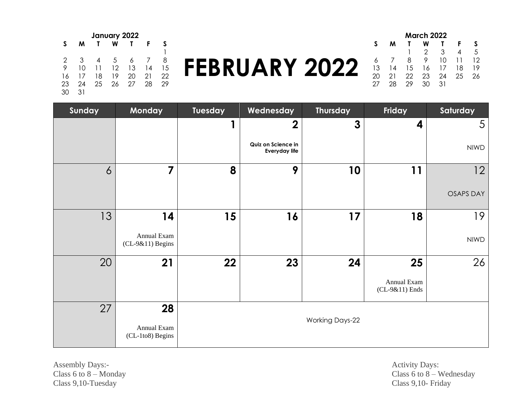| January 2022 |    |    |    |    |    |    |  |  |  |
|--------------|----|----|----|----|----|----|--|--|--|
| S.           | м  |    | w  |    | F  |    |  |  |  |
|              |    |    |    |    |    |    |  |  |  |
| 2            | 3  | 4  | 5  | 6  |    | 8  |  |  |  |
| 9            | 10 | 11 | 12 | 13 | 14 | 15 |  |  |  |
| 16           | 17 | 18 | 19 | 20 | 21 | 22 |  |  |  |
| 23           | 24 | 25 | 26 | 27 | 28 | 29 |  |  |  |
|              | 31 |    |    |    |    |    |  |  |  |

# **FEBRUARY 2022**

| <b>March 2022</b> |    |    |    |    |    |    |  |  |  |
|-------------------|----|----|----|----|----|----|--|--|--|
| S                 | м  |    |    |    |    | S  |  |  |  |
|                   |    |    | 2  | 3  | 4  | .5 |  |  |  |
| 6                 |    | 8  | 9  | 10 | 11 | 12 |  |  |  |
| 13                | 14 | 15 | 16 | 17 | 18 | 19 |  |  |  |
| 20                | 21 | 22 | 23 | 24 | 25 | 26 |  |  |  |
| 27                | 28 | 29 | 30 | 31 |    |    |  |  |  |

| Sunday         | Monday                            | Tuesday | Wednesday                                  | <b>Thursday</b>        | Friday                        | Saturday         |
|----------------|-----------------------------------|---------|--------------------------------------------|------------------------|-------------------------------|------------------|
|                |                                   |         | $\boldsymbol{2}$                           | $\boldsymbol{3}$       | 4                             | 5                |
|                |                                   |         | Quiz on Science in<br><b>Everyday life</b> |                        |                               | <b>NIWD</b>      |
| $\overline{6}$ | 7                                 | 8       | 9                                          | 10                     | 11                            | 12               |
|                |                                   |         |                                            |                        |                               | <b>OSAPS DAY</b> |
| 13             | 14                                | 15      | 16                                         | 17                     | 18                            | 19               |
|                | Annual Exam<br>$(CL-9&11)$ Begins |         |                                            |                        |                               | <b>NIWD</b>      |
| 20             | 21                                | 22      | 23                                         | 24                     | 25                            | 26               |
|                |                                   |         |                                            |                        | Annual Exam<br>(CL-9&11) Ends |                  |
| 27             | 28                                |         |                                            |                        |                               |                  |
|                | Annual Exam<br>(CL-1to8) Begins   |         |                                            | <b>Working Days-22</b> |                               |                  |

Assembly Days:-<br>
Class 6 to 8 – Monday<br>
Class 6 to 8 – Monday<br>
Class 6 to 8 – Monday Class 9,10-Tuesday Class 9,10- Friday